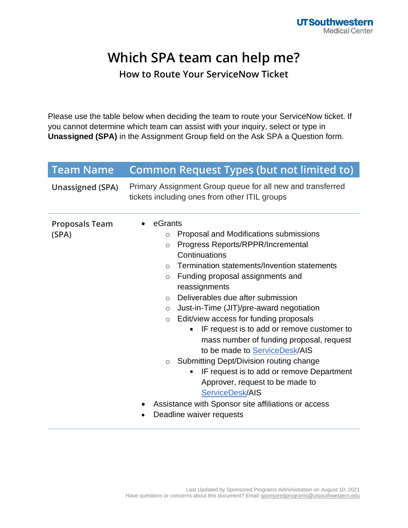## **Which SPA team can help me?**

**How to Route Your ServiceNow Ticket**

Please use the table below when deciding the team to route your ServiceNow ticket. If you cannot determine which team can assist with your inquiry, select or type in **Unassigned (SPA)** in the Assignment Group field on the Ask SPA a Question form.

| <b>Team Name</b>               | <b>Common Request Types (but not limited to)</b>                                                                                                                                                                                                                                                                                                                                                                                                                                                                                                                                                                                                                                                                                                                                                                |
|--------------------------------|-----------------------------------------------------------------------------------------------------------------------------------------------------------------------------------------------------------------------------------------------------------------------------------------------------------------------------------------------------------------------------------------------------------------------------------------------------------------------------------------------------------------------------------------------------------------------------------------------------------------------------------------------------------------------------------------------------------------------------------------------------------------------------------------------------------------|
| <b>Unassigned (SPA)</b>        | Primary Assignment Group queue for all new and transferred<br>tickets including ones from other ITIL groups                                                                                                                                                                                                                                                                                                                                                                                                                                                                                                                                                                                                                                                                                                     |
| <b>Proposals Team</b><br>(SPA) | eGrants<br>Proposal and Modifications submissions<br>$\circ$<br>Progress Reports/RPPR/Incremental<br>$\circ$<br>Continuations<br>Termination statements/Invention statements<br>$\bigcirc$<br>Funding proposal assignments and<br>$\circ$<br>reassignments<br>Deliverables due after submission<br>$\Omega$<br>Just-in-Time (JIT)/pre-award negotiation<br>$\circ$<br>Edit/view access for funding proposals<br>$\circ$<br>IF request is to add or remove customer to<br>٠<br>mass number of funding proposal, request<br>to be made to <b>ServiceDesk/AIS</b><br>Submitting Dept/Division routing change<br>$\circ$<br>IF request is to add or remove Department<br>٠<br>Approver, request to be made to<br>ServiceDesk/AIS<br>Assistance with Sponsor site affiliations or access<br>Deadline waiver requests |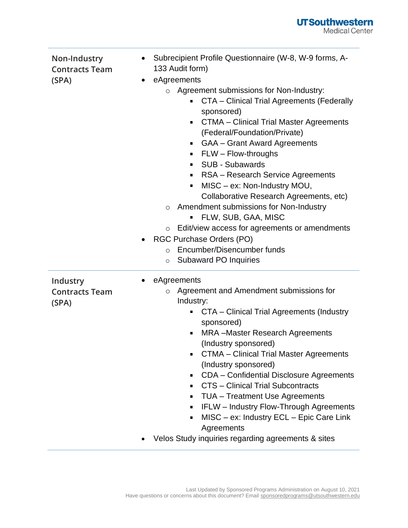| Non-Industry<br><b>Contracts Team</b><br>(SPA) | $\bullet$ | Subrecipient Profile Questionnaire (W-8, W-9 forms, A-<br>133 Audit form)<br>eAgreements<br>Agreement submissions for Non-Industry:<br><b>CTA</b> - Clinical Trial Agreements (Federally<br>sponsored)<br><b>CTMA - Clinical Trial Master Agreements</b><br>п<br>(Federal/Foundation/Private)<br><b>GAA</b> – Grant Award Agreements<br>FLW - Flow-throughs<br>٠<br><b>SUB - Subawards</b><br>٠<br>RSA - Research Service Agreements<br>٠<br>MISC - ex: Non-Industry MOU,<br>٠<br>Collaborative Research Agreements, etc)<br>Amendment submissions for Non-Industry<br>$\circ$<br>FLW, SUB, GAA, MISC<br>Edit/view access for agreements or amendments<br>$\circ$<br><b>RGC Purchase Orders (PO)</b><br>Encumber/Disencumber funds<br>$\bigcirc$<br><b>Subaward PO Inquiries</b><br>$\circ$ |
|------------------------------------------------|-----------|---------------------------------------------------------------------------------------------------------------------------------------------------------------------------------------------------------------------------------------------------------------------------------------------------------------------------------------------------------------------------------------------------------------------------------------------------------------------------------------------------------------------------------------------------------------------------------------------------------------------------------------------------------------------------------------------------------------------------------------------------------------------------------------------|
| Industry<br><b>Contracts Team</b><br>(SPA)     |           | eAgreements<br>Agreement and Amendment submissions for<br>$\circ$<br>Industry:<br>CTA - Clinical Trial Agreements (Industry<br>٠<br>sponsored)<br><b>MRA</b> - Master Research Agreements<br>π<br>(Industry sponsored)<br><b>CTMA</b> – Clinical Trial Master Agreements<br>٠<br>(Industry sponsored)<br>CDA - Confidential Disclosure Agreements<br><b>CTS</b> – Clinical Trial Subcontracts<br>٠<br><b>TUA</b> – Treatment Use Agreements<br>п<br>IFLW - Industry Flow-Through Agreements<br>π<br>MISC - ex: Industry ECL - Epic Care Link<br>٠<br>Agreements<br>Velos Study inquiries regarding agreements & sites                                                                                                                                                                       |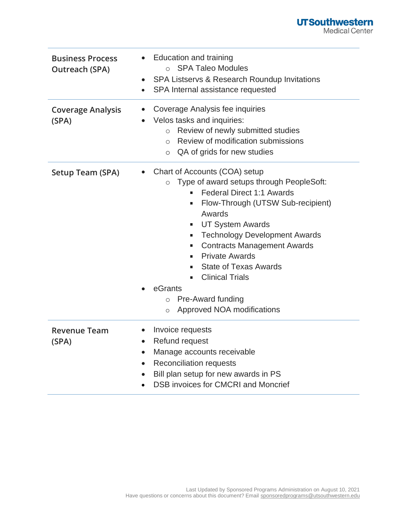| <b>Business Process</b><br><b>Outreach (SPA)</b> | <b>Education and training</b><br>○ SPA Taleo Modules<br>SPA Listservs & Research Roundup Invitations<br>$\bullet$<br>SPA Internal assistance requested<br>$\bullet$                                                                                                                                                                                                                                                                                                                          |
|--------------------------------------------------|----------------------------------------------------------------------------------------------------------------------------------------------------------------------------------------------------------------------------------------------------------------------------------------------------------------------------------------------------------------------------------------------------------------------------------------------------------------------------------------------|
| <b>Coverage Analysis</b><br>(SPA)                | Coverage Analysis fee inquiries<br>Velos tasks and inquiries:<br>Review of newly submitted studies<br>$\circ$<br>Review of modification submissions<br>$\bigcirc$<br>QA of grids for new studies<br>$\circ$                                                                                                                                                                                                                                                                                  |
| <b>Setup Team (SPA)</b>                          | Chart of Accounts (COA) setup<br>Type of award setups through PeopleSoft:<br>$\circ$<br>Federal Direct 1:1 Awards<br>Flow-Through (UTSW Sub-recipient)<br>ш<br>Awards<br><b>UT System Awards</b><br>٠<br><b>Technology Development Awards</b><br>٠<br><b>Contracts Management Awards</b><br>٠<br><b>Private Awards</b><br>$\blacksquare$<br><b>State of Texas Awards</b><br><b>Clinical Trials</b><br>٠.<br>eGrants<br>Pre-Award funding<br>$\circ$<br>Approved NOA modifications<br>$\circ$ |
| <b>Revenue Team</b><br>(SPA)                     | Invoice requests<br>Refund request<br>Manage accounts receivable<br>$\bullet$<br><b>Reconciliation requests</b><br>$\bullet$<br>Bill plan setup for new awards in PS<br>$\bullet$<br><b>DSB invoices for CMCRI and Moncrief</b>                                                                                                                                                                                                                                                              |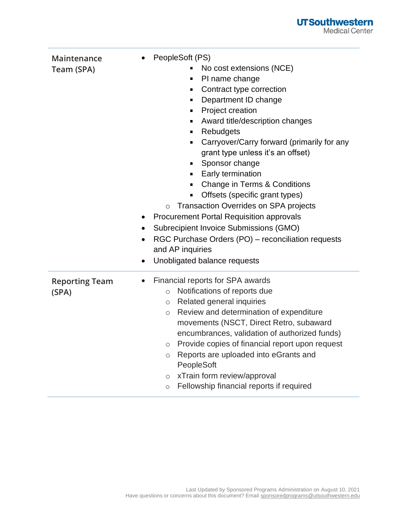

| Maintenance<br>Team (SPA)      | PeopleSoft (PS)<br>No cost extensions (NCE)<br>PI name change<br>$\blacksquare$<br>Contract type correction<br>٠<br>Department ID change<br>٠<br>Project creation<br>٠<br>Award title/description changes<br>٠<br>Rebudgets<br>$\blacksquare$<br>Carryover/Carry forward (primarily for any<br>$\blacksquare$<br>grant type unless it's an offset)<br>Sponsor change<br>٠<br>Early termination<br>٠<br>Change in Terms & Conditions<br>٠<br>Offsets (specific grant types)<br>$\blacksquare$<br><b>Transaction Overrides on SPA projects</b><br>$\circ$<br><b>Procurement Portal Requisition approvals</b><br>Subrecipient Invoice Submissions (GMO)<br>$\bullet$<br>RGC Purchase Orders (PO) - reconciliation requests<br>and AP inquiries<br>Unobligated balance requests<br>$\bullet$ |
|--------------------------------|------------------------------------------------------------------------------------------------------------------------------------------------------------------------------------------------------------------------------------------------------------------------------------------------------------------------------------------------------------------------------------------------------------------------------------------------------------------------------------------------------------------------------------------------------------------------------------------------------------------------------------------------------------------------------------------------------------------------------------------------------------------------------------------|
| <b>Reporting Team</b><br>(SPA) | Financial reports for SPA awards<br>Notifications of reports due<br>$\circ$<br>Related general inquiries<br>$\circ$<br>Review and determination of expenditure<br>$\circ$<br>movements (NSCT, Direct Retro, subaward<br>encumbrances, validation of authorized funds)<br>Provide copies of financial report upon request<br>$\circ$<br>Reports are uploaded into eGrants and<br>$\circ$<br>PeopleSoft<br>xTrain form review/approval<br>$\circ$<br>Fellowship financial reports if required<br>$\circ$                                                                                                                                                                                                                                                                                   |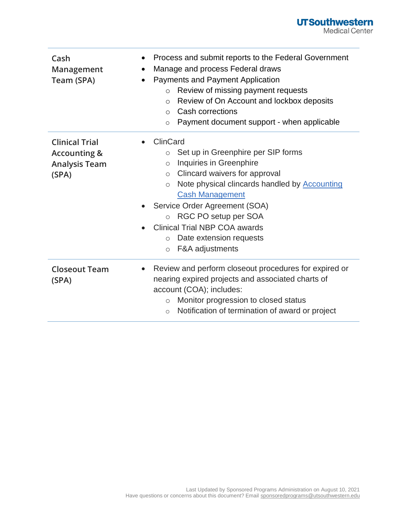## **UTSouthwestern**<br>Medical Center

| Cash<br>Management<br>Team (SPA)                                                  | Process and submit reports to the Federal Government<br>٠<br>Manage and process Federal draws<br>Payments and Payment Application<br>Review of missing payment requests<br>$\circ$<br>Review of On Account and lockbox deposits<br>$\circ$<br>Cash corrections<br>$\bigcirc$<br>Payment document support - when applicable<br>$\circ$                                                                                                |
|-----------------------------------------------------------------------------------|--------------------------------------------------------------------------------------------------------------------------------------------------------------------------------------------------------------------------------------------------------------------------------------------------------------------------------------------------------------------------------------------------------------------------------------|
| <b>Clinical Trial</b><br><b>Accounting &amp;</b><br><b>Analysis Team</b><br>(SPA) | ClinCard<br>Set up in Greenphire per SIP forms<br>$\circ$<br>Inquiries in Greenphire<br>$\circ$<br>Clincard waivers for approval<br>$\circlearrowright$<br>Note physical clincards handled by <b>Accounting</b><br>$\circ$<br><b>Cash Management</b><br>Service Order Agreement (SOA)<br>RGC PO setup per SOA<br>$\circ$<br><b>Clinical Trial NBP COA awards</b><br>Date extension requests<br>$\circ$<br>F&A adjustments<br>$\circ$ |
| <b>Closeout Team</b><br>(SPA)                                                     | Review and perform closeout procedures for expired or<br>$\bullet$<br>nearing expired projects and associated charts of<br>account (COA); includes:<br>Monitor progression to closed status<br>$\circ$<br>Notification of termination of award or project<br>$\circ$                                                                                                                                                                 |